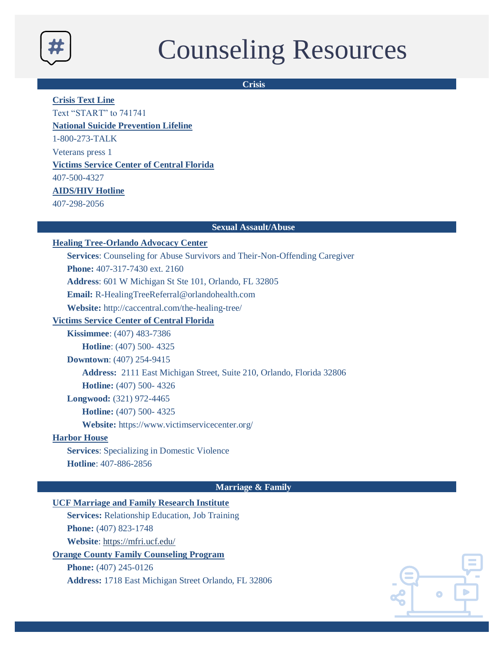

# Counseling Resources

**Crisis**

**Crisis Text Line**

Text "START" to 741741

**National Suicide Prevention Lifeline**

1-800-273-TALK

Veterans press 1

## **Victims Service Center of Central Florida**

407-500-4327

# **AIDS/HIV Hotline**

407-298-2056

## **Sexual Assault/Abuse**

## **Healing Tree-Orlando Advocacy Center**

**Services**: Counseling for Abuse Survivors and Their-Non-Offending Caregiver

**Phone:** 407-317-7430 ext. 2160

**Address**: 601 W Michigan St Ste 101, Orlando, FL 32805

**Email:** R-HealingTreeReferral@orlandohealth.com

**Website:** http://caccentral.com/the-healing-tree/

## **Victims Service Center of Central Florida**

**Kissimmee**: (407) 483-7386 **Hotline**: (407) 500- 4325

**Downtown**: (407) 254-9415

**Address:** 2111 East Michigan Street, Suite 210, Orlando, Florida 32806

**Hotline:** (407) 500- 4326

**Longwood:** (321) 972-4465

**Hotline:** (407) 500- 4325

**Website:** https://www.victimservicecenter.org/

## **Harbor House**

**Services**: Specializing in Domestic Violence **Hotline**: 407-886-2856

**Marriage & Family**

# **UCF Marriage and Family Research Institute**

**Services:** Relationship Education, Job Training **Phone:** (407) 823-1748

**Website**: https://mfri.ucf.edu/

## **Orange County Family Counseling Program**

**Phone:** (407) 245-0126

**Address:** 1718 East Michigan Street Orlando, FL 32806

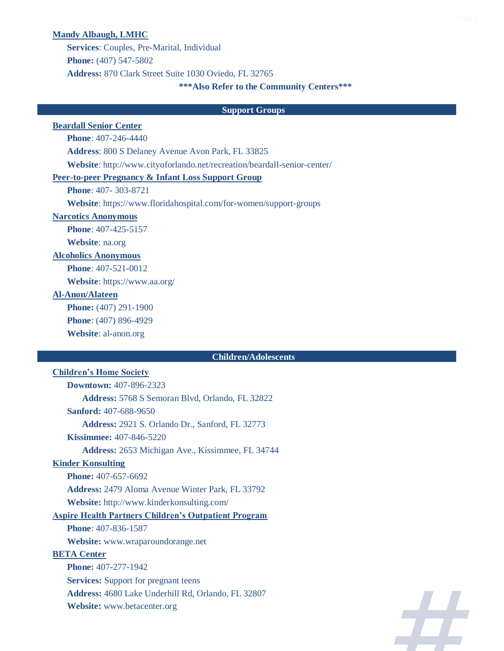#### **Mandy Albaugh, LMHC**

**Services**: Couples, Pre-Marital, Individual **Phone:** (407) 547-5802 **Address:** 870 Clark Street Suite 1030 Oviedo, FL 32765

## **\*\*\*Also Refer to the Community Centers\*\*\***

#### **Support Groups**

## **Beardall Senior Center**

**Phone**: 407-246-4440

**Address**: 800 S Delaney Avenue Avon Park, FL 33825

**Website**: http://www.cityoforlando.net/recreation/beardall-senior-center/

## **Peer-to-peer Pregnancy & Infant Loss Support Group**

**Phone**: 407- 303-8721

**Website**: https://www.floridahospital.com/for-women/support-groups

## **Narcotics Anonymous**

**Phone**: 407-425-5157

**Website**: na.org

## **Alcoholics Anonymous**

**Phone**: 407-521-0012

**Website**: https://www.aa.org/

## **Al-Anon/Alateen**

**Phone:** (407) 291-1900 **Phone**: (407) 896-4929

**Website**: al-anon.org

## **Children/Adolescents**

## **Children's Home Society**

**Downtown:** 407-896-2323 **Address:** 5768 S Semoran Blvd, Orlando, FL 32822 **Sanford:** 407-688-9650 **Address:** 2921 S. Orlando Dr., Sanford, FL 32773 **Kissimmee:** 407-846-5220 **Address:** 2653 Michigan Ave., Kissimmee, FL 34744 **Kinder Konsulting Phone:** 407-657-6692 **Address:** 2479 Aloma Avenue Winter Park, FL 33792 **Website:** http://www.kinderkonsulting.com/ **Aspire Health Partners Children's Outpatient Program Phone**: 407-836-1587 **Website:** www.wraparoundorange.net **BETA Center Phone:** 407-277-1942 **Services:** Support for pregnant teens **Address:** 4680 Lake Underhill Rd, Orlando, FL 32807

**Website:** www.betacenter.org

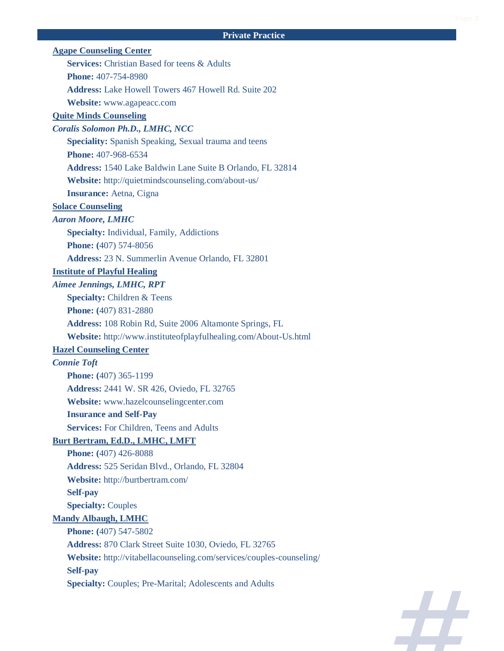# **Private Practice**

| <b>Agape Counseling Center</b>                                       |
|----------------------------------------------------------------------|
| <b>Services:</b> Christian Based for teens & Adults                  |
| <b>Phone:</b> 407-754-8980                                           |
| <b>Address:</b> Lake Howell Towers 467 Howell Rd. Suite 202          |
| Website: www.agapeacc.com                                            |
| <b>Quite Minds Counseling</b>                                        |
| Coralis Solomon Ph.D., LMHC, NCC                                     |
| Speciality: Spanish Speaking, Sexual trauma and teens                |
| <b>Phone:</b> 407-968-6534                                           |
| Address: 1540 Lake Baldwin Lane Suite B Orlando, FL 32814            |
| Website: http://quietmindscounseling.com/about-us/                   |
| <b>Insurance:</b> Aetna, Cigna                                       |
| <b>Solace Counseling</b>                                             |
| <b>Aaron Moore, LMHC</b>                                             |
| Specialty: Individual, Family, Addictions                            |
| Phone: (407) 574-8056                                                |
| Address: 23 N. Summerlin Avenue Orlando, FL 32801                    |
| <b>Institute of Playful Healing</b>                                  |
| <b>Aimee Jennings, LMHC, RPT</b>                                     |
| <b>Specialty: Children &amp; Teens</b>                               |
| Phone: (407) 831-2880                                                |
| Address: 108 Robin Rd, Suite 2006 Altamonte Springs, FL              |
| Website: http://www.instituteofplayfulhealing.com/About-Us.html      |
| <b>Hazel Counseling Center</b>                                       |
| <b>Connie Toft</b>                                                   |
| Phone: (407) 365-1199                                                |
| Address: 2441 W. SR 426, Oviedo, FL 32765                            |
| Website: www.hazelcounselingcenter.com                               |
| <b>Insurance and Self-Pay</b>                                        |
| <b>Services:</b> For Children, Teens and Adults                      |
| <b>Burt Bertram, Ed.D., LMHC, LMFT</b>                               |
| <b>Phone:</b> (407) 426-8088                                         |
| Address: 525 Seridan Blvd., Orlando, FL 32804                        |
| Website: http://burtbertram.com/                                     |
| <b>Self-pay</b>                                                      |
| <b>Specialty: Couples</b>                                            |
| <b>Mandy Albaugh, LMHC</b>                                           |
| Phone: (407) 547-5802                                                |
| Address: 870 Clark Street Suite 1030, Oviedo, FL 32765               |
| Website: http://vitabellacounseling.com/services/couples-counseling/ |
| <b>Self-pay</b>                                                      |
| <b>Specialty: Couples; Pre-Marital; Adolescents and Adults</b>       |
|                                                                      |

Æ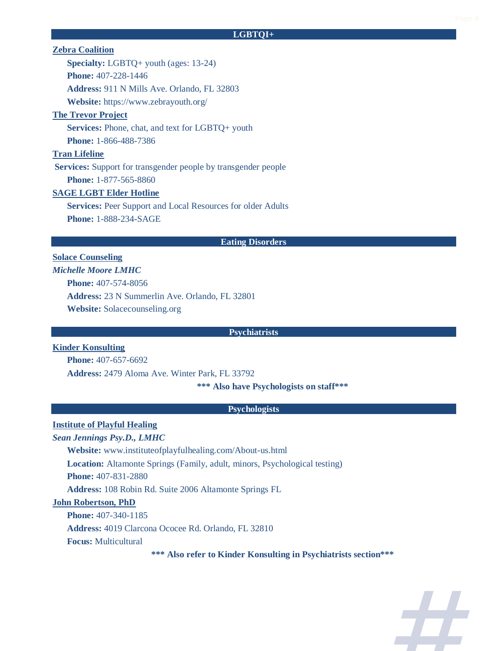## **LGBTQI+**

## **Zebra Coalition**

**Specialty:** LGBTQ+ youth (ages: 13-24) **Phone:** 407-228-1446 **Address:** 911 N Mills Ave. Orlando, FL 32803 **Website:** https://www.zebrayouth.org/

## **The Trevor Project**

**Services:** Phone, chat, and text for LGBTQ+ youth **Phone:** 1-866-488-7386

## **Tran Lifeline**

**Services:** Support for transgender people by transgender people **Phone:** 1-877-565-8860

## **SAGE LGBT Elder Hotline**

**Services:** Peer Support and Local Resources for older Adults **Phone:** 1-888-234-SAGE

#### **Eating Disorders**

# **Solace Counseling** *Michelle Moore LMHC* **Phone:** 407-574-8056 **Address:** 23 N Summerlin Ave. Orlando, FL 32801 **Website:** Solacecounseling.org

#### **Psychiatrists**

## **Kinder Konsulting**

**Phone:** 407-657-6692

**Address:** 2479 Aloma Ave. Winter Park, FL 33792

**\*\*\* Also have Psychologists on staff\*\*\***

#### **Psychologists**

## **Institute of Playful Healing**

*Sean Jennings Psy.D., LMHC*

**Website:** www.instituteofplayfulhealing.com/About-us.html

**Location:** Altamonte Springs (Family, adult, minors, Psychological testing)

**Phone:** 407-831-2880

**Address:** 108 Robin Rd. Suite 2006 Altamonte Springs FL

#### **John Robertson, PhD**

**Phone:** 407-340-1185

**Address:** 4019 Clarcona Ococee Rd. Orlando, FL 32810

**Focus:** Multicultural

**\*\*\* Also refer to Kinder Konsulting in Psychiatrists section\*\*\***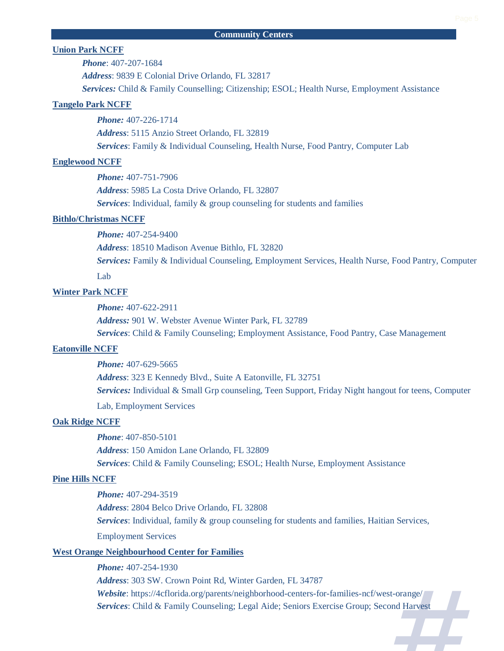## **Union Park NCFF**

*Phone*: 407-207-1684

*Address*: 9839 E Colonial Drive Orlando, FL 32817

*Services:* Child & Family Counselling; Citizenship; ESOL; Health Nurse, Employment Assistance

## **Tangelo Park NCFF**

*Phone:* 407-226-1714 *Address*: 5115 Anzio Street Orlando, FL 32819 *Services*: Family & Individual Counseling, Health Nurse, Food Pantry, Computer Lab

## **Englewood NCFF**

*Phone:* 407-751-7906 *Address*: 5985 La Costa Drive Orlando, FL 32807 *Services*: Individual, family & group counseling for students and families

#### **Bithlo/Christmas NCFF**

*Phone:* 407-254-9400

*Address*: 18510 Madison Avenue Bithlo, FL 32820

*Services:* Family & Individual Counseling, Employment Services, Health Nurse, Food Pantry, Computer

Lab

## **Winter Park NCFF**

*Phone:* 407-622-2911

*Address:* 901 W. Webster Avenue Winter Park, FL 32789 *Services*: Child & Family Counseling; Employment Assistance, Food Pantry, Case Management

#### **Eatonville NCFF**

*Phone:* 407-629-5665

*Address*: 323 E Kennedy Blvd., Suite A Eatonville, FL 32751 *Services:* Individual & Small Grp counseling, Teen Support, Friday Night hangout for teens, Computer Lab, Employment Services

## **Oak Ridge NCFF**

*Phone*: 407-850-5101 *Address*: 150 Amidon Lane Orlando, FL 32809 *Services*: Child & Family Counseling; ESOL; Health Nurse, Employment Assistance

## **Pine Hills NCFF**

*Phone:* 407-294-3519 *Address*: 2804 Belco Drive Orlando, FL 32808 *Services*: Individual, family & group counseling for students and families, Haitian Services, Employment Services

## **West Orange Neighbourhood Center for Families**

*Phone:* 407-254-1930

*Address*: 303 SW. Crown Point Rd, Winter Garden, FL 34787 *Website*: https://4cflorida.org/parents/neighborhood-centers-for-families-ncf/west-orange/ *Services*: Child & Family Counseling; Legal Aide; Seniors Exercise Group; Second Harvest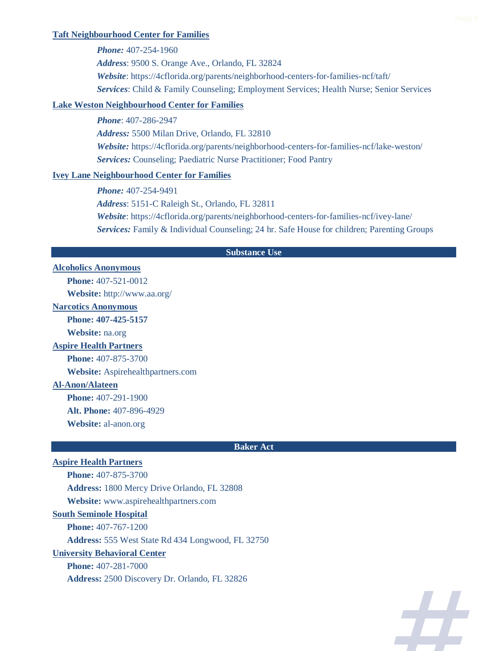#### **Taft Neighbourhood Center for Families**

*Phone:* 407-254-1960 *Address*: 9500 S. Orange Ave., Orlando, FL 32824 *Website*: https://4cflorida.org/parents/neighborhood-centers-for-families-ncf/taft/ *Services*: Child & Family Counseling; Employment Services; Health Nurse; Senior Services

## **Lake Weston Neighbourhood Center for Families**

*Phone*: 407-286-2947 *Address:* 5500 Milan Drive, Orlando, FL 32810 *Website:* https://4cflorida.org/parents/neighborhood-centers-for-families-ncf/lake-weston/ *Services:* Counseling; Paediatric Nurse Practitioner; Food Pantry

## **Ivey Lane Neighbourhood Center for Families**

*Phone:* 407-254-9491

*Address*: 5151-C Raleigh St., Orlando, FL 32811

*Website*: https://4cflorida.org/parents/neighborhood-centers-for-families-ncf/ivey-lane/ *Services:* Family & Individual Counseling; 24 hr. Safe House for children; Parenting Groups

### **Substance Use**

## **Alcoholics Anonymous**

**Phone:** 407-521-0012

**Website:** http://www.aa.org/

#### **Narcotics Anonymous**

**Phone: 407-425-5157**

**Website:** na.org

## **Aspire Health Partners**

**Phone:** 407-875-3700

**Website:** Aspirehealthpartners.com

# **Al-Anon/Alateen**

**Phone:** 407-291-1900 **Alt. Phone:** 407-896-4929

**Website:** al-anon.org

#### **Baker Act**

## **Aspire Health Partners**

**Phone:** 407-875-3700 **Address:** 1800 Mercy Drive Orlando, FL 32808 **Website:** www.aspirehealthpartners.com **South Seminole Hospital Phone:** 407-767-1200 **Address:** 555 West State Rd 434 Longwood, FL 32750 **University Behavioral Center**

**Phone:** 407-281-7000 **Address:** 2500 Discovery Dr. Orlando, FL 32826